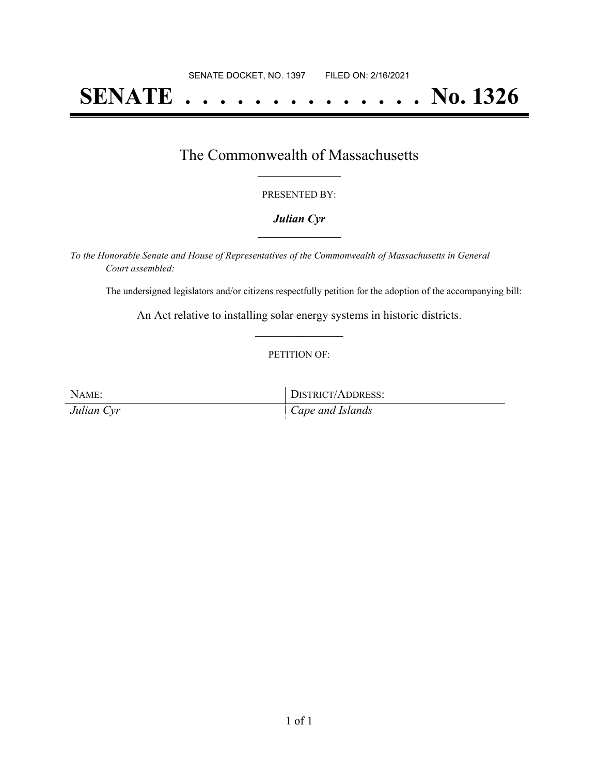# **SENATE . . . . . . . . . . . . . . No. 1326**

# The Commonwealth of Massachusetts **\_\_\_\_\_\_\_\_\_\_\_\_\_\_\_\_\_**

#### PRESENTED BY:

#### *Julian Cyr* **\_\_\_\_\_\_\_\_\_\_\_\_\_\_\_\_\_**

*To the Honorable Senate and House of Representatives of the Commonwealth of Massachusetts in General Court assembled:*

The undersigned legislators and/or citizens respectfully petition for the adoption of the accompanying bill:

An Act relative to installing solar energy systems in historic districts. **\_\_\_\_\_\_\_\_\_\_\_\_\_\_\_**

#### PETITION OF:

NAME: DISTRICT/ADDRESS: *Julian Cyr Cape and Islands*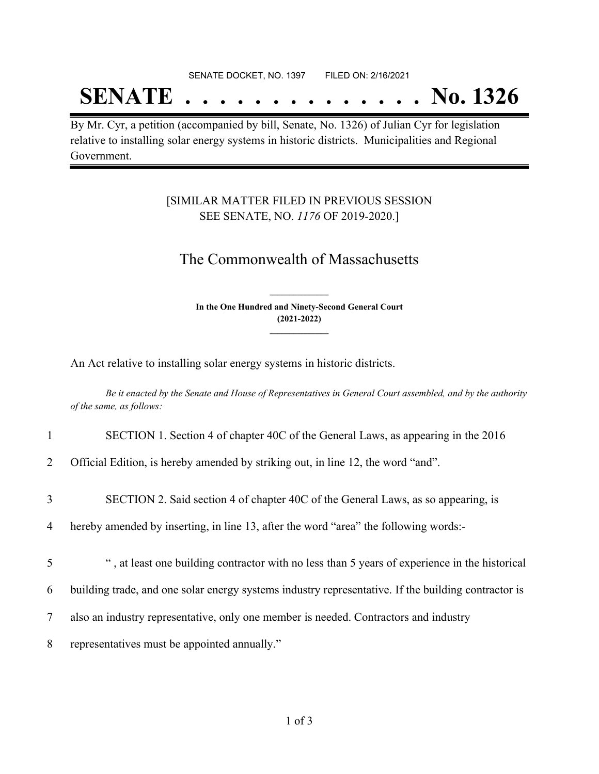#### SENATE DOCKET, NO. 1397 FILED ON: 2/16/2021

# **SENATE . . . . . . . . . . . . . . No. 1326**

By Mr. Cyr, a petition (accompanied by bill, Senate, No. 1326) of Julian Cyr for legislation relative to installing solar energy systems in historic districts. Municipalities and Regional Government.

### [SIMILAR MATTER FILED IN PREVIOUS SESSION SEE SENATE, NO. *1176* OF 2019-2020.]

## The Commonwealth of Massachusetts

**In the One Hundred and Ninety-Second General Court (2021-2022) \_\_\_\_\_\_\_\_\_\_\_\_\_\_\_**

**\_\_\_\_\_\_\_\_\_\_\_\_\_\_\_**

An Act relative to installing solar energy systems in historic districts.

Be it enacted by the Senate and House of Representatives in General Court assembled, and by the authority *of the same, as follows:*

- 1 SECTION 1. Section 4 of chapter 40C of the General Laws, as appearing in the 2016
- 2 Official Edition, is hereby amended by striking out, in line 12, the word "and".
- 3 SECTION 2. Said section 4 of chapter 40C of the General Laws, as so appearing, is
- 4 hereby amended by inserting, in line 13, after the word "area" the following words:-
- 5 " , at least one building contractor with no less than 5 years of experience in the historical
- 6 building trade, and one solar energy systems industry representative. If the building contractor is
- 7 also an industry representative, only one member is needed. Contractors and industry
- 8 representatives must be appointed annually."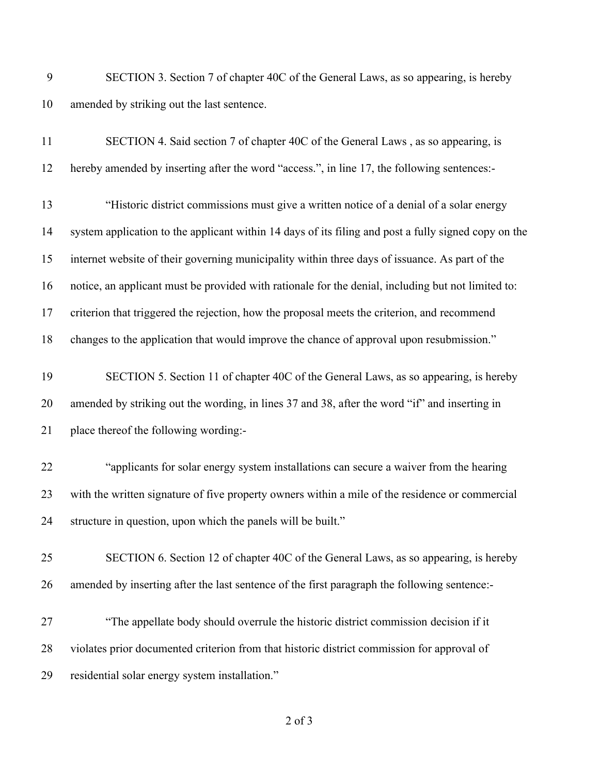SECTION 3. Section 7 of chapter 40C of the General Laws, as so appearing, is hereby amended by striking out the last sentence.

| 11 | SECTION 4. Said section 7 of chapter 40C of the General Laws, as so appearing, is                    |
|----|------------------------------------------------------------------------------------------------------|
| 12 | hereby amended by inserting after the word "access.", in line 17, the following sentences:-          |
| 13 | "Historic district commissions must give a written notice of a denial of a solar energy              |
| 14 | system application to the applicant within 14 days of its filing and post a fully signed copy on the |
| 15 | internet website of their governing municipality within three days of issuance. As part of the       |
| 16 | notice, an applicant must be provided with rationale for the denial, including but not limited to:   |
| 17 | criterion that triggered the rejection, how the proposal meets the criterion, and recommend          |
| 18 | changes to the application that would improve the chance of approval upon resubmission."             |
| 19 | SECTION 5. Section 11 of chapter 40C of the General Laws, as so appearing, is hereby                 |
| 20 | amended by striking out the wording, in lines 37 and 38, after the word "if" and inserting in        |
| 21 | place thereof the following wording:-                                                                |
| 22 | "applicants for solar energy system installations can secure a waiver from the hearing               |
| 23 | with the written signature of five property owners within a mile of the residence or commercial      |
| 24 | structure in question, upon which the panels will be built."                                         |
| 25 | SECTION 6. Section 12 of chapter 40C of the General Laws, as so appearing, is hereby                 |
| 26 | amended by inserting after the last sentence of the first paragraph the following sentence:-         |
| 27 | "The appellate body should overrule the historic district commission decision if it                  |
| 28 | violates prior documented criterion from that historic district commission for approval of           |
| 29 | residential solar energy system installation."                                                       |
|    |                                                                                                      |

of 3